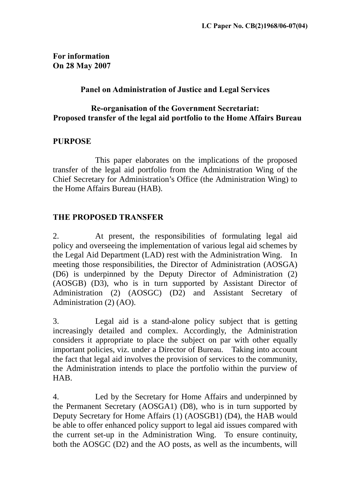**For information On 28 May 2007** 

## **Panel on Administration of Justice and Legal Services**

## **Re-organisation of the Government Secretariat: Proposed transfer of the legal aid portfolio to the Home Affairs Bureau**

## **PURPOSE**

 This paper elaborates on the implications of the proposed transfer of the legal aid portfolio from the Administration Wing of the Chief Secretary for Administration's Office (the Administration Wing) to the Home Affairs Bureau (HAB).

## **THE PROPOSED TRANSFER**

2. At present, the responsibilities of formulating legal aid policy and overseeing the implementation of various legal aid schemes by the Legal Aid Department (LAD) rest with the Administration Wing. In meeting those responsibilities, the Director of Administration (AOSGA) (D6) is underpinned by the Deputy Director of Administration (2) (AOSGB) (D3), who is in turn supported by Assistant Director of Administration (2) (AOSGC) (D2) and Assistant Secretary of Administration (2) (AO).

3. Legal aid is a stand-alone policy subject that is getting increasingly detailed and complex. Accordingly, the Administration considers it appropriate to place the subject on par with other equally important policies, viz. under a Director of Bureau. Taking into account the fact that legal aid involves the provision of services to the community, the Administration intends to place the portfolio within the purview of HAB.

4. Led by the Secretary for Home Affairs and underpinned by the Permanent Secretary (AOSGA1) (D8), who is in turn supported by Deputy Secretary for Home Affairs (1) (AOSGB1) (D4), the HAB would be able to offer enhanced policy support to legal aid issues compared with the current set-up in the Administration Wing. To ensure continuity, both the AOSGC (D2) and the AO posts, as well as the incumbents, will